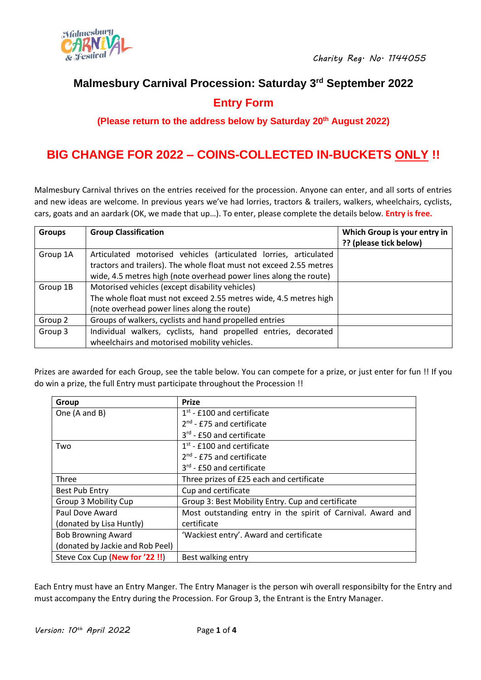

# **Malmesbury Carnival Procession: Saturday 3 rd September 2022**

# **Entry Form**

**(Please return to the address below by Saturday 20 th August 2022)**

# **BIG CHANGE FOR 2022 – COINS-COLLECTED IN-BUCKETS ONLY !!**

Malmesbury Carnival thrives on the entries received for the procession. Anyone can enter, and all sorts of entries and new ideas are welcome. In previous years we've had lorries, tractors & trailers, walkers, wheelchairs, cyclists, cars, goats and an aardark (OK, we made that up…). To enter, please complete the details below. **Entry is free.**

| <b>Groups</b> | <b>Group Classification</b>                                         | Which Group is your entry in |
|---------------|---------------------------------------------------------------------|------------------------------|
|               |                                                                     | ?? (please tick below)       |
| Group 1A      | Articulated motorised vehicles (articulated lorries, articulated    |                              |
|               | tractors and trailers). The whole float must not exceed 2.55 metres |                              |
|               | wide, 4.5 metres high (note overhead power lines along the route)   |                              |
| Group 1B      | Motorised vehicles (except disability vehicles)                     |                              |
|               | The whole float must not exceed 2.55 metres wide, 4.5 metres high   |                              |
|               | (note overhead power lines along the route)                         |                              |
| Group 2       | Groups of walkers, cyclists and hand propelled entries              |                              |
| Group 3       | Individual walkers, cyclists, hand propelled entries, decorated     |                              |
|               | wheelchairs and motorised mobility vehicles.                        |                              |

Prizes are awarded for each Group, see the table below. You can compete for a prize, or just enter for fun !! If you do win a prize, the full Entry must participate throughout the Procession !!

| Group                            | <b>Prize</b>                                                |
|----------------------------------|-------------------------------------------------------------|
| One (A and B)                    | $1st$ - £100 and certificate                                |
|                                  | $2nd$ - £75 and certificate                                 |
|                                  | $3rd$ - £50 and certificate                                 |
| Two                              | $1st$ - £100 and certificate                                |
|                                  | $2nd$ - £75 and certificate                                 |
|                                  | $3rd$ - £50 and certificate                                 |
| <b>Three</b>                     | Three prizes of £25 each and certificate                    |
| Best Pub Entry                   | Cup and certificate                                         |
| Group 3 Mobility Cup             | Group 3: Best Mobility Entry. Cup and certificate           |
| Paul Dove Award                  | Most outstanding entry in the spirit of Carnival. Award and |
| (donated by Lisa Huntly)         | certificate                                                 |
| <b>Bob Browning Award</b>        | 'Wackiest entry'. Award and certificate                     |
| (donated by Jackie and Rob Peel) |                                                             |
| Steve Cox Cup (New for '22!!)    | Best walking entry                                          |

Each Entry must have an Entry Manger. The Entry Manager is the person wih overall responsibilty for the Entry and must accompany the Entry during the Procession. For Group 3, the Entrant is the Entry Manager.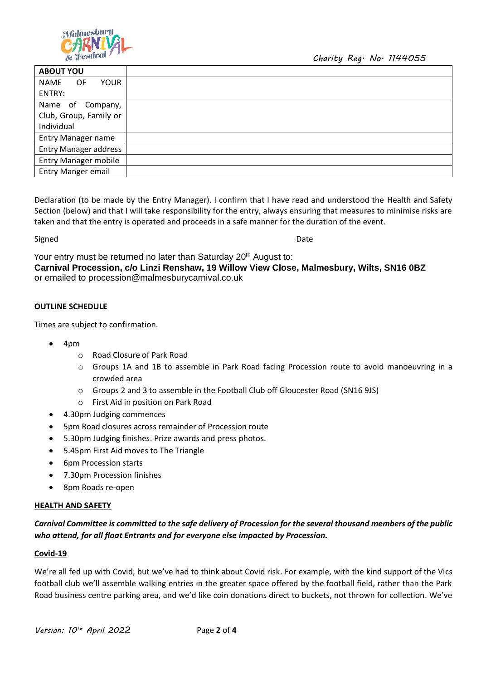

| <b>ABOUT YOU</b>             |  |
|------------------------------|--|
| NAME<br>OF.<br><b>YOUR</b>   |  |
| ENTRY:                       |  |
| Name of Company,             |  |
| Club, Group, Family or       |  |
| Individual                   |  |
| <b>Entry Manager name</b>    |  |
| <b>Entry Manager address</b> |  |
| <b>Entry Manager mobile</b>  |  |
| <b>Entry Manger email</b>    |  |
|                              |  |

Declaration (to be made by the Entry Manager). I confirm that I have read and understood the Health and Safety Section (below) and that I will take responsibility for the entry, always ensuring that measures to minimise risks are taken and that the entry is operated and proceeds in a safe manner for the duration of the event.

Signed **Date** 

Your entry must be returned no later than Saturday 20<sup>th</sup> August to: **Carnival Procession, c/o Linzi Renshaw, 19 Willow View Close, Malmesbury, Wilts, SN16 0BZ**  or emailed to procession@malmesburycarnival.co.uk

### **OUTLINE SCHEDULE**

Times are subject to confirmation.

- 4pm
	- o Road Closure of Park Road
	- $\circ$  Groups 1A and 1B to assemble in Park Road facing Procession route to avoid manoeuvring in a crowded area
	- o Groups 2 and 3 to assemble in the Football Club off Gloucester Road (SN16 9JS)
	- o First Aid in position on Park Road
- 4.30pm Judging commences
- 5pm Road closures across remainder of Procession route
- 5.30pm Judging finishes. Prize awards and press photos.
- 5.45pm First Aid moves to The Triangle
- 6pm Procession starts
- 7.30pm Procession finishes
- 8pm Roads re-open

#### **HEALTH AND SAFETY**

*Carnival Committee is committed to the safe delivery of Procession for the several thousand members of the public who attend, for all float Entrants and for everyone else impacted by Procession.*

#### **Covid-19**

We're all fed up with Covid, but we've had to think about Covid risk. For example, with the kind support of the Vics football club we'll assemble walking entries in the greater space offered by the football field, rather than the Park Road business centre parking area, and we'd like coin donations direct to buckets, not thrown for collection. We've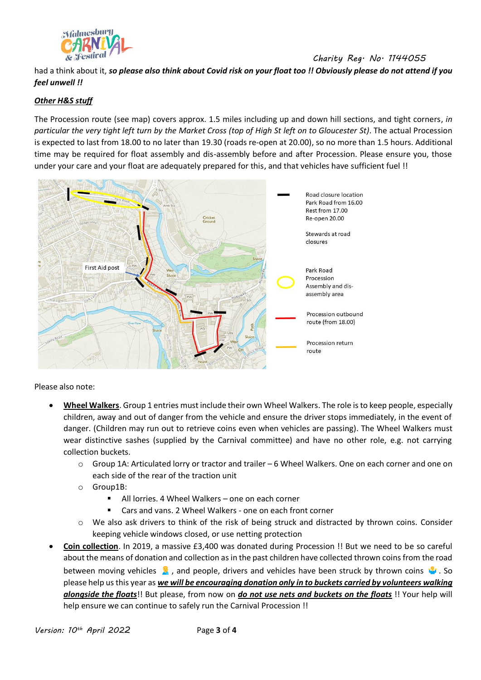

*Charity Reg. No. 1144055*

had a think about it, *so please also think about Covid risk on your float too !! Obviously please do not attend if you feel unwell !!*

## *Other H&S stuff*

The Procession route (see map) covers approx. 1.5 miles including up and down hill sections, and tight corners, *in particular the very tight left turn by the Market Cross (top of High St left on to Gloucester St)*. The actual Procession is expected to last from 18.00 to no later than 19.30 (roads re-open at 20.00), so no more than 1.5 hours. Additional time may be required for float assembly and dis-assembly before and after Procession. Please ensure you, those under your care and your float are adequately prepared for this, and that vehicles have sufficient fuel !!



Please also note:

- **Wheel Walkers**. Group 1 entries must include their own Wheel Walkers. The role is to keep people, especially children, away and out of danger from the vehicle and ensure the driver stops immediately, in the event of danger. (Children may run out to retrieve coins even when vehicles are passing). The Wheel Walkers must wear distinctive sashes (supplied by the Carnival committee) and have no other role, e.g. not carrying collection buckets.
	- $\circ$  Group 1A: Articulated lorry or tractor and trailer 6 Wheel Walkers. One on each corner and one on each side of the rear of the traction unit
	- o Group1B:
		- All lorries. 4 Wheel Walkers one on each corner
		- Cars and vans. 2 Wheel Walkers one on each front corner
	- o We also ask drivers to think of the risk of being struck and distracted by thrown coins. Consider keeping vehicle windows closed, or use netting protection
- **Coin collection**. In 2019, a massive £3,400 was donated during Procession !! But we need to be so careful about the means of donation and collection as in the past children have collected thrown coins from the road between moving vehicles  $\hat{\mathbf{x}}$ , and people, drivers and vehicles have been struck by thrown coins  $\hat{\mathbf{x}}$ . So please help us this year as *we will be encouraging donation only in to buckets carried by volunteers walking alongside the floats*!! But please, from now on *do not use nets and buckets on the floats* !! Your help will help ensure we can continue to safely run the Carnival Procession !!